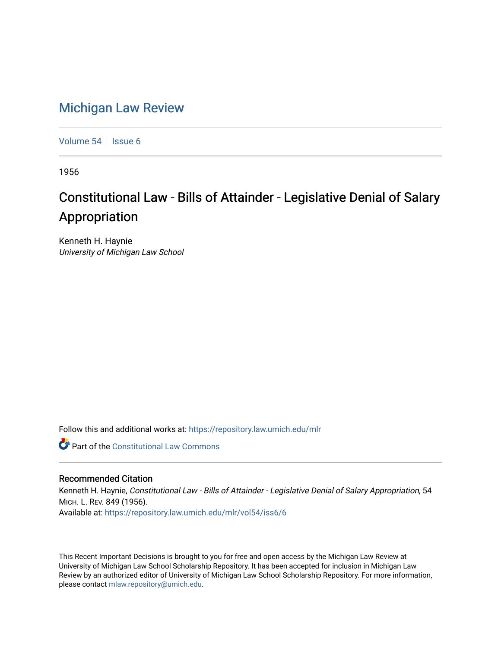## [Michigan Law Review](https://repository.law.umich.edu/mlr)

[Volume 54](https://repository.law.umich.edu/mlr/vol54) | [Issue 6](https://repository.law.umich.edu/mlr/vol54/iss6)

1956

# Constitutional Law - Bills of Attainder - Legislative Denial of Salary Appropriation

Kenneth H. Haynie University of Michigan Law School

Follow this and additional works at: [https://repository.law.umich.edu/mlr](https://repository.law.umich.edu/mlr?utm_source=repository.law.umich.edu%2Fmlr%2Fvol54%2Fiss6%2F6&utm_medium=PDF&utm_campaign=PDFCoverPages) 

**Part of the Constitutional Law Commons** 

### Recommended Citation

Kenneth H. Haynie, Constitutional Law - Bills of Attainder - Legislative Denial of Salary Appropriation, 54 MICH. L. REV. 849 (1956). Available at: [https://repository.law.umich.edu/mlr/vol54/iss6/6](https://repository.law.umich.edu/mlr/vol54/iss6/6?utm_source=repository.law.umich.edu%2Fmlr%2Fvol54%2Fiss6%2F6&utm_medium=PDF&utm_campaign=PDFCoverPages)

This Recent Important Decisions is brought to you for free and open access by the Michigan Law Review at University of Michigan Law School Scholarship Repository. It has been accepted for inclusion in Michigan Law Review by an authorized editor of University of Michigan Law School Scholarship Repository. For more information, please contact [mlaw.repository@umich.edu.](mailto:mlaw.repository@umich.edu)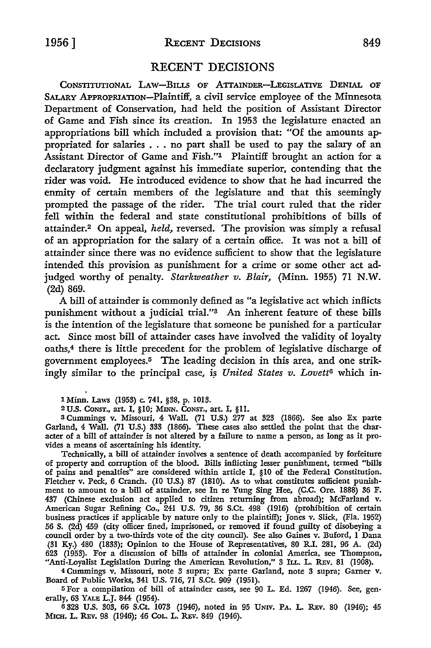#### RECENT DECISIONS

CONSTITUTIONAL LAW-BILLS OF ATTAINDER-LEGISLATIVE DENIAL OF SALARY APPROPRIATION-Plaintiff, a civil service employee of the Minnesota Department of Conservation, had held the position of Assistant Director of Game and Fish since its creation. In 1953 the legislature enacted an appropriations bill which included a provision that: "Of the amounts appropriated for salaries . . . no part shall be used to pay the salary of an Assistant Director of Game and Fish."1 Plaintiff brought an action for a declaratory judgment against his immediate superior, contending that the rider was void. He introduced evidence to show that he had incurred the enmity of certain members of the legislature and that this seemingly prompted the passage of the rider. The trial court ruled that the rider fell within the federal and state constitutional prohibitions of bills of attainder.2 On appeal, *held,* reversed. The provision was simply a refusal of an appropriation for the salary of a certain office. It was not a bill of attainder since there was no evidence sufficient to show that the legislature intended this provision as punishment for a crime or some other act adjudged worthy of penalty. *Starkweather v. Blair,* (Minn. 1955) 71 N.W. (2d) 869.

A bill of attainder is commonly defined as "a legislative act which inflicts punishment without a judicial trial."3 An inherent feature of these bills is the intention of the legislature that someone be punished for a particular act. Since most bill of attainder cases have involved the validity of loyalty oaths,4 there is little precedent for the problem of legislative discharge of government employees.5 The leading decision in this area, and one strikingly similar to the principal case, is *United States v. Lovett<sup>6</sup>* which in-

1 Minn. Laws (1953) c. 741, §38, p. 1013.

<sup>2</sup>U.S. CONST., art. I, §10; MINN. CONST., art. I, §11.

<sup>3</sup>Cummings v. Missouri, 4 Wall. (71 U.S.) 277 at 323 (1866). See also Ex parte Garland, 4 Wall. (71 U.S.) 333 (1866). These cases also settled the point that the char• acter of a bill of attainder is not altered by a failure to name a person, as long as it pro• vides a means of ascertaining his identity.

Technically, a bill of attainder involves a sentence of death accompanied by forfeiture of property and corruption of the blood. Bills inflicting lesser punishment, termed "bills of pains and penalties" are considered within article I, §10 of the Federal Constitution. Fletcher v. Peck, 6 Cranch. (10 U.S.) 87 (1810). As to what constitutes sufficient punishment to amount to a bill of attainder, see In re Yung Sing Hee, (C.C. Ore. 1888) 36 F. 437 (Chinese exclusion act applied to citizen returning from abroad); McFarland v. American Sugar Refining Co., 241 U.S. 79, 36 S.Ct. 498 (1916) (prohibition of certain business practices if applicable by nature only to the plaintiff); Jones v. Slick, (Fla. 1952) 56 S. (2d) 459 (city officer fined, imprisoned, or removed if found guilty of disobeying a council order by a two-thirds vote of the city council). See also Gaines v. Buford, I Dana (31 Ky.) 480 (1833); Opinion to the House of Representatives, 80 R.I. 281, 96 A. (2d) 623 (1953). For a discussion of bills of attainder in colonial America, see Thompson, "Anti-Loyalist Legislation During the American Revolution," 3 ILL. L. REV. 81 (1908).

4 Cummings v. Missouri, note 3 supra; Ex parte Garland, note 3 supra; Garner v. Board of Public Works, 341 U.S. 716, 71 S.Ct. 909 (1951).

5 For a compilation of bill of attainder cases, see 90 L. Ed. 1267 (1946). See, generally, 63 YALE L.J. 844 (1954).

<sup>6</sup>328 U.S. 303, 66 S.Ct. 1073 (1946), noted in 95 UNIV. PA. L. R.Ev. 80 (1946); 45 MICH. L. REV. 98 (1946); 46 COL. L. REV. 849 (1946).